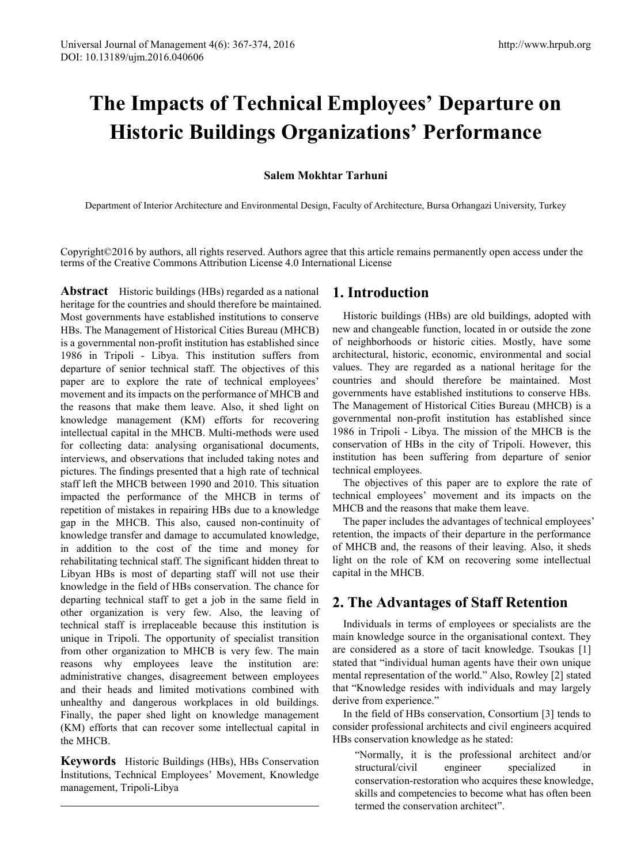# **The Impacts of Technical Employees' Departure on Historic Buildings Organizations' Performance**

## **Salem Mokhtar Tarhuni**

Department of Interior Architecture and Environmental Design, Faculty of Architecture, Bursa Orhangazi University, Turkey

Copyright©2016 by authors, all rights reserved. Authors agree that this article remains permanently open access under the terms of the Creative Commons Attribution License 4.0 International License

**Abstract** Historic buildings (HBs) regarded as a national heritage for the countries and should therefore be maintained. Most governments have established institutions to conserve HBs. The Management of Historical Cities Bureau (MHCB) is a governmental non-profit institution has established since 1986 in Tripoli - Libya. This institution suffers from departure of senior technical staff. The objectives of this paper are to explore the rate of technical employees' movement and its impacts on the performance of MHCB and the reasons that make them leave. Also, it shed light on knowledge management (KM) efforts for recovering intellectual capital in the MHCB. Multi-methods were used for collecting data: analysing organisational documents, interviews, and observations that included taking notes and pictures. The findings presented that a high rate of technical staff left the MHCB between 1990 and 2010. This situation impacted the performance of the MHCB in terms of repetition of mistakes in repairing HBs due to a knowledge gap in the MHCB. This also, caused non-continuity of knowledge transfer and damage to accumulated knowledge, in addition to the cost of the time and money for rehabilitating technical staff. The significant hidden threat to Libyan HBs is most of departing staff will not use their knowledge in the field of HBs conservation. The chance for departing technical staff to get a job in the same field in other organization is very few. Also, the leaving of technical staff is irreplaceable because this institution is unique in Tripoli. The opportunity of specialist transition from other organization to MHCB is very few. The main reasons why employees leave the institution are: administrative changes, disagreement between employees and their heads and limited motivations combined with unhealthy and dangerous workplaces in old buildings. Finally, the paper shed light on knowledge management (KM) efforts that can recover some intellectual capital in the MHCB.

<span id="page-0-0"></span>**Keywords** Historic Buildings (HBs), HBs Conservation İnstitutions, Technical Employees' Movement, Knowledge management, Tripoli-Libya

# **1. Introduction**

Historic buildings (HBs) are old buildings, adopted with new and changeable function, located in or outside the zone of neighborhoods or historic cities. Mostly, have some architectural, historic, economic, environmental and social values. They are regarded as a national heritage for the countries and should therefore be maintained. Most governments have established institutions to conserve HBs. The Management of Historical Cities Bureau (MHCB) is a governmental non-profit institution has established since 1986 in Tripoli - Libya. The mission of the MHCB is the conservation of HBs in the city of Tripoli. However, this institution has been suffering from departure of senior technical employees.

The objectives of this paper are to explore the rate of technical employees' movement and its impacts on the MHCB and the reasons that make them leave.

The paper includes the advantages of technical employees' retention, the impacts of their departure in the performance of MHCB and, the reasons of their leaving. Also, it sheds light on the role of KM on recovering some intellectual capital in the MHCB.

# **2. The Advantages of Staff Retention**

Individuals in terms of employees or specialists are the main knowledge source in the organisational context. They are considered as a store of tacit knowledge. Tsoukas [1] stated that "individual human agents have their own unique mental representation of the world." Also, Rowley [2] stated that "Knowledge resides with individuals and may largely derive from experience."

In the field of HBs conservation, Consortium [3] tends to consider professional architects and civil engineers acquired HBs conservation knowledge as he stated:

"Normally, it is the professional architect and/or structural/civil engineer specialized in conservation-restoration who acquires these knowledge, skills and competencies to become what has often been termed the conservation architect".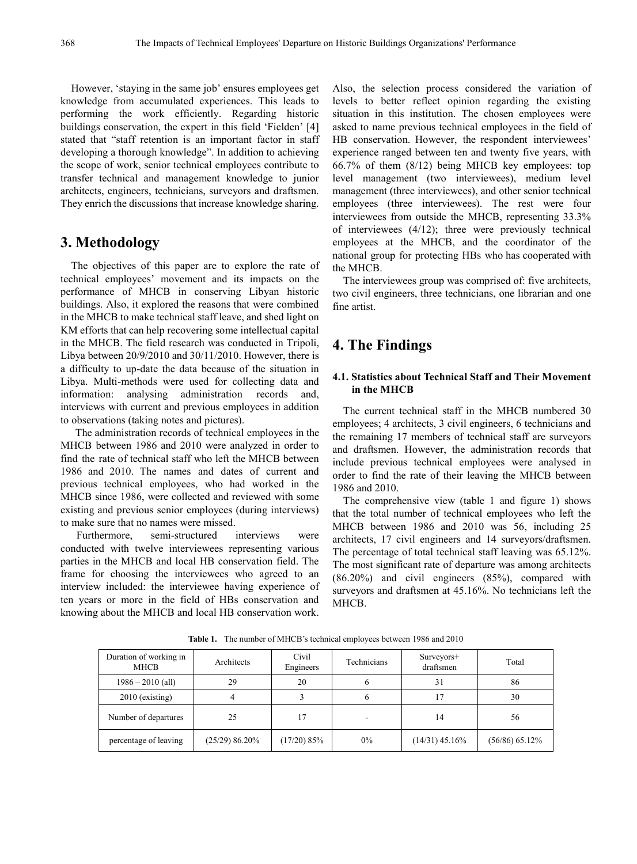However, 'staying in the same job' ensures employees get knowledge from accumulated experiences. This leads to performing the work efficiently. Regarding historic buildings conservation, the expert in this field 'Fielden' [4] stated that "staff retention is an important factor in staff developing a thorough knowledge". In addition to achieving the scope of work, senior technical employees contribute to transfer technical and management knowledge to junior architects, engineers, technicians, surveyors and draftsmen. They enrich the discussions that increase knowledge sharing.

## **3. Methodology**

The objectives of this paper are to explore the rate of technical employees' movement and its impacts on the performance of MHCB in conserving Libyan historic buildings. Also, it explored the reasons that were combined in the MHCB to make technical staff leave, and shed light on KM efforts that can help recovering some intellectual capital in the MHCB. The field research was conducted in Tripoli, Libya between 20/9/2010 and 30/11/2010. However, there is a difficulty to up-date the data because of the situation in Libya. Multi-methods were used for collecting data and information: analysing administration records and, interviews with current and previous employees in addition to observations (taking notes and pictures).

The administration records of technical employees in the MHCB between 1986 and 2010 were analyzed in order to find the rate of technical staff who left the MHCB between 1986 and 2010. The names and dates of current and previous technical employees, who had worked in the MHCB since 1986, were collected and reviewed with some existing and previous senior employees (during interviews) to make sure that no names were missed.

Furthermore, semi-structured interviews were conducted with twelve interviewees representing various parties in the MHCB and local HB conservation field. The frame for choosing the interviewees who agreed to an interview included: the interviewee having experience of ten years or more in the field of HBs conservation and knowing about the MHCB and local HB conservation work.

Also, the selection process considered the variation of levels to better reflect opinion regarding the existing situation in this institution. The chosen employees were asked to name previous technical employees in the field of HB conservation. However, the respondent interviewees' experience ranged between ten and twenty five years, with 66.7% of them (8/12) being MHCB key employees: top level management (two interviewees), medium level management (three interviewees), and other senior technical employees (three interviewees). The rest were four interviewees from outside the MHCB, representing 33.3% of interviewees (4/12); three were previously technical employees at the MHCB, and the coordinator of the national group for protecting HBs who has cooperated with the MHCB.

The interviewees group was comprised of: five architects, two civil engineers, three technicians, one librarian and one fine artist.

## **4. The Findings**

#### **4.1. Statistics about Technical Staff and Their Movement in the MHCB**

The current technical staff in the MHCB numbered 30 employees; 4 architects, 3 civil engineers, 6 technicians and the remaining 17 members of technical staff are surveyors and draftsmen. However, the administration records that include previous technical employees were analysed in order to find the rate of their leaving the MHCB between 1986 and 2010.

The comprehensive view (table 1 and figure 1) shows that the total number of technical employees who left the MHCB between 1986 and 2010 was 56, including 25 architects, 17 civil engineers and 14 surveyors/draftsmen. The percentage of total technical staff leaving was 65.12%. The most significant rate of departure was among architects (86.20%) and civil engineers (85%), compared with surveyors and draftsmen at 45.16%. No technicians left the MHCB.

| Duration of working in<br>MHCB | Architects       | Civil<br>Engineers | Technicians | Surveyors+<br>draftsmen | Total          |
|--------------------------------|------------------|--------------------|-------------|-------------------------|----------------|
| $1986 - 2010$ (all)            | 29               | 20                 | 6           | 31                      | 86             |
| $2010$ (existing)              | 4                |                    | b           | 17                      | 30             |
| Number of departures           | 25               | 17                 |             | 14                      | 56             |
| percentage of leaving          | $(25/29)$ 86.20% | (17/20) 85%        | $0\%$       | $(14/31)$ 45.16%        | (56/86) 65.12% |

**Table 1.** The number of MHCB's technical employees between 1986 and 2010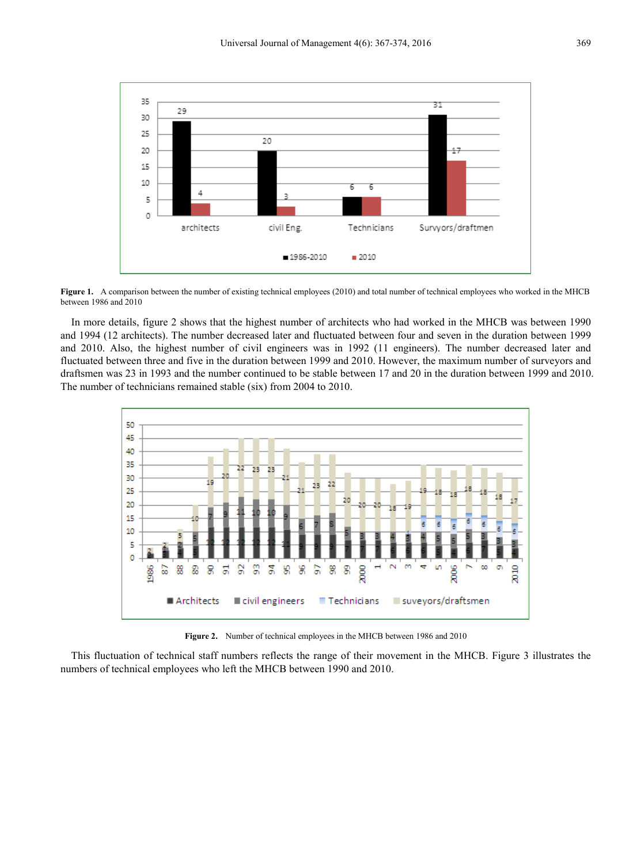

**Figure 1.** A comparison between the number of existing technical employees (2010) and total number of technical employees who worked in the MHCB between 1986 and 2010

In more details, figure 2 shows that the highest number of architects who had worked in the MHCB was between 1990 and 1994 (12 architects). The number decreased later and fluctuated between four and seven in the duration between 1999 and 2010. Also, the highest number of civil engineers was in 1992 (11 engineers). The number decreased later and fluctuated between three and five in the duration between 1999 and 2010. However, the maximum number of surveyors and draftsmen was 23 in 1993 and the number continued to be stable between 17 and 20 in the duration between 1999 and 2010. The number of technicians remained stable (six) from 2004 to 2010.



**Figure 2.** Number of technical employees in the MHCB between 1986 and 2010

This fluctuation of technical staff numbers reflects the range of their movement in the MHCB. Figure 3 illustrates the numbers of technical employees who left the MHCB between 1990 and 2010.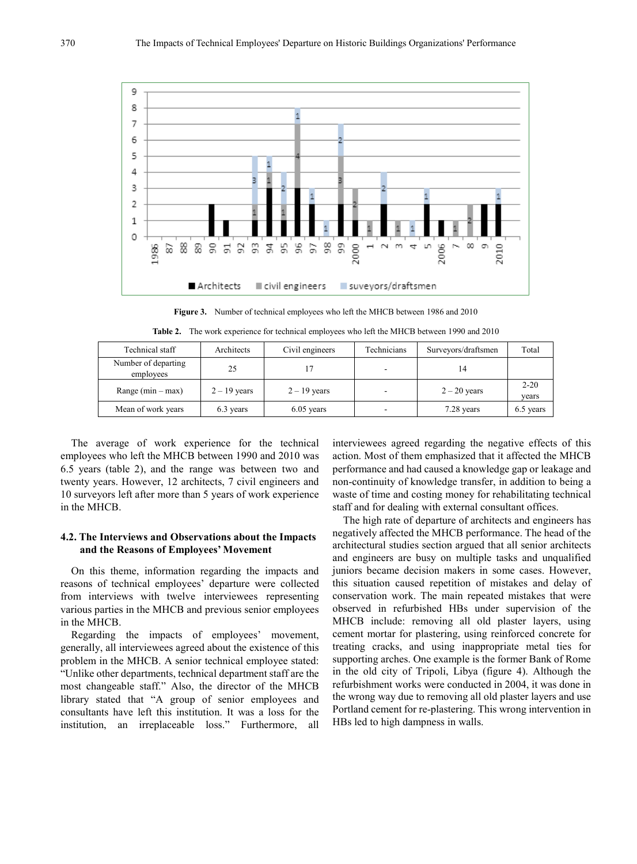

**Figure 3.** Number of technical employees who left the MHCB between 1986 and 2010

| Technical staff                  | Architects     | Civil engineers | Technicians              | Surveyors/draftsmen | Total             |
|----------------------------------|----------------|-----------------|--------------------------|---------------------|-------------------|
| Number of departing<br>employees | 25             |                 | $\overline{\phantom{0}}$ |                     |                   |
| Range $(min - max)$              | $2 - 19$ years | $2 - 19$ years  | $\overline{\phantom{a}}$ | $2 - 20$ years      | $2 - 20$<br>vears |

Mean of work years 6.3 years 6.3 years 6.05 years 6.05 years 6.5 years 6.5 years 6.5 years

**Table 2.** The work experience for technical employees who left the MHCB between 1990 and 2010

The average of work experience for the technical employees who left the MHCB between 1990 and 2010 was 6.5 years (table 2), and the range was between two and twenty years. However, 12 architects, 7 civil engineers and 10 surveyors left after more than 5 years of work experience in the MHCB.

#### **4.2. The Interviews and Observations about the Impacts and the Reasons of Employees' Movement**

On this theme, information regarding the impacts and reasons of technical employees' departure were collected from interviews with twelve interviewees representing various parties in the MHCB and previous senior employees in the MHCB.

Regarding the impacts of employees' movement, generally, all interviewees agreed about the existence of this problem in the MHCB. A senior technical employee stated: "Unlike other departments, technical department staff are the most changeable staff." Also, the director of the MHCB library stated that "A group of senior employees and consultants have left this institution. It was a loss for the institution, an irreplaceable loss." Furthermore, all

interviewees agreed regarding the negative effects of this action. Most of them emphasized that it affected the MHCB performance and had caused a knowledge gap or leakage and non-continuity of knowledge transfer, in addition to being a waste of time and costing money for rehabilitating technical staff and for dealing with external consultant offices.

The high rate of departure of architects and engineers has negatively affected the MHCB performance. The head of the architectural studies section argued that all senior architects and engineers are busy on multiple tasks and unqualified juniors became decision makers in some cases. However, this situation caused repetition of mistakes and delay of conservation work. The main repeated mistakes that were observed in refurbished HBs under supervision of the MHCB include: removing all old plaster layers, using cement mortar for plastering, using reinforced concrete for treating cracks, and using inappropriate metal ties for supporting arches. One example is the former Bank of Rome in the old city of Tripoli, Libya (figure 4). Although the refurbishment works were conducted in 2004, it was done in the wrong way due to removing all old plaster layers and use Portland cement for re-plastering. This wrong intervention in HBs led to high dampness in walls.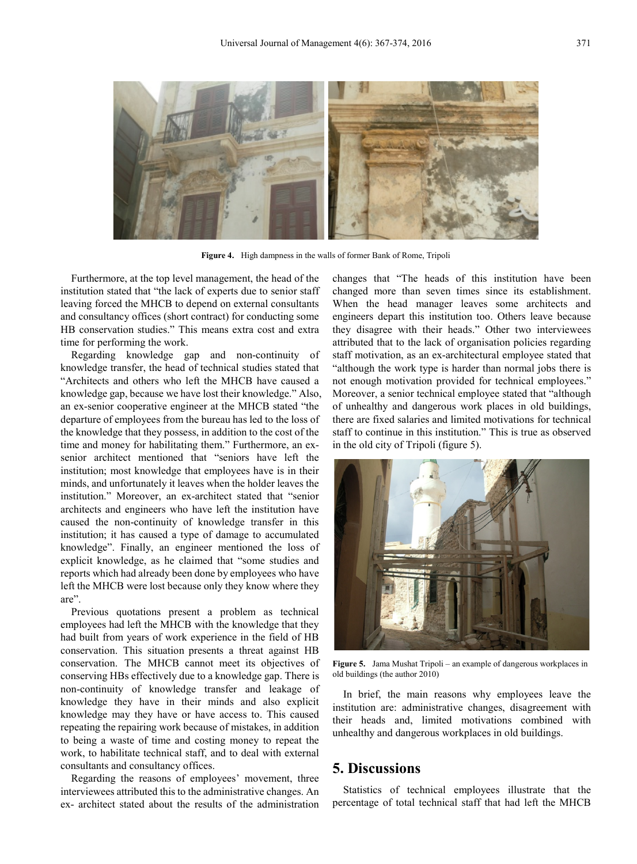

**Figure 4.** High dampness in the walls of former Bank of Rome, Tripoli

Furthermore, at the top level management, the head of the institution stated that "the lack of experts due to senior staff leaving forced the MHCB to depend on external consultants and consultancy offices (short contract) for conducting some HB conservation studies." This means extra cost and extra time for performing the work.

Regarding knowledge gap and non-continuity of knowledge transfer, the head of technical studies stated that "Architects and others who left the MHCB have caused a knowledge gap, because we have lost their knowledge." Also, an ex-senior cooperative engineer at the MHCB stated "the departure of employees from the bureau has led to the loss of the knowledge that they possess, in addition to the cost of the time and money for habilitating them." Furthermore, an exsenior architect mentioned that "seniors have left the institution; most knowledge that employees have is in their minds, and unfortunately it leaves when the holder leaves the institution." Moreover, an ex-architect stated that "senior architects and engineers who have left the institution have caused the non-continuity of knowledge transfer in this institution; it has caused a type of damage to accumulated knowledge". Finally, an engineer mentioned the loss of explicit knowledge, as he claimed that "some studies and reports which had already been done by employees who have left the MHCB were lost because only they know where they are".

Previous quotations present a problem as technical employees had left the MHCB with the knowledge that they had built from years of work experience in the field of HB conservation. This situation presents a threat against HB conservation. The MHCB cannot meet its objectives of conserving HBs effectively due to a knowledge gap. There is non-continuity of knowledge transfer and leakage of knowledge they have in their minds and also explicit knowledge may they have or have access to. This caused repeating the repairing work because of mistakes, in addition to being a waste of time and costing money to repeat the work, to habilitate technical staff, and to deal with external consultants and consultancy offices.

Regarding the reasons of employees' movement, three interviewees attributed this to the administrative changes. An ex- architect stated about the results of the administration

changes that "The heads of this institution have been changed more than seven times since its establishment. When the head manager leaves some architects and engineers depart this institution too. Others leave because they disagree with their heads." Other two interviewees attributed that to the lack of organisation policies regarding staff motivation, as an ex-architectural employee stated that "although the work type is harder than normal jobs there is not enough motivation provided for technical employees." Moreover, a senior technical employee stated that "although of unhealthy and dangerous work places in old buildings, there are fixed salaries and limited motivations for technical staff to continue in this institution." This is true as observed in the old city of Tripoli (figure 5).



**Figure 5.** Jama Mushat Tripoli – an example of dangerous workplaces in old buildings (the author 2010)

In brief, the main reasons why employees leave the institution are: administrative changes, disagreement with their heads and, limited motivations combined with unhealthy and dangerous workplaces in old buildings.

## **5. Discussions**

Statistics of technical employees illustrate that the percentage of total technical staff that had left the MHCB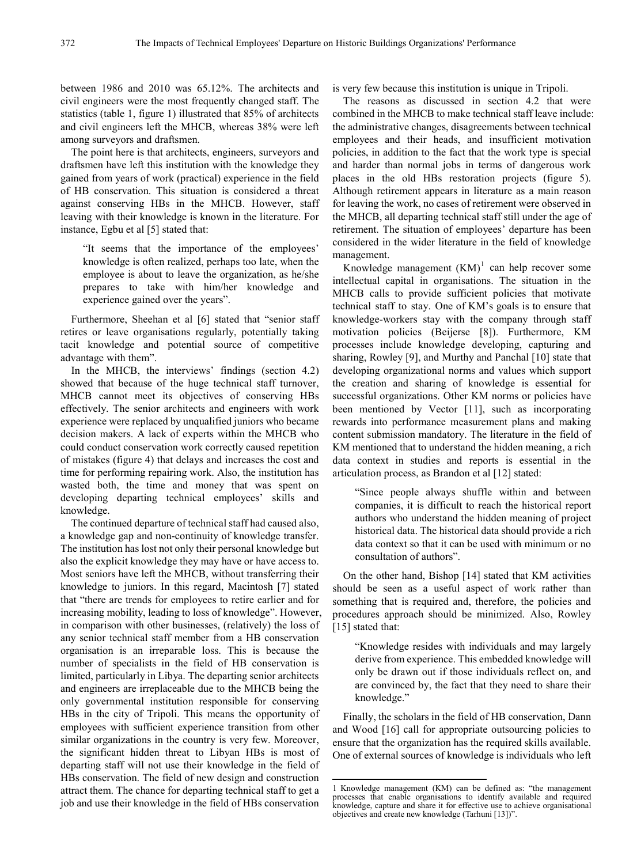between 1986 and 2010 was 65.12%. The architects and civil engineers were the most frequently changed staff. The statistics (table 1, figure 1) illustrated that 85% of architects and civil engineers left the MHCB, whereas 38% were left among surveyors and draftsmen.

The point here is that architects, engineers, surveyors and draftsmen have left this institution with the knowledge they gained from years of work (practical) experience in the field of HB conservation. This situation is considered a threat against conserving HBs in the MHCB. However, staff leaving with their knowledge is known in the literature. For instance, Egbu et al [5] stated that:

"It seems that the importance of the employees' knowledge is often realized, perhaps too late, when the employee is about to leave the organization, as he/she prepares to take with him/her knowledge and experience gained over the years".

Furthermore, Sheehan et al [6] stated that "senior staff retires or leave organisations regularly, potentially taking tacit knowledge and potential source of competitive advantage with them".

In the MHCB, the interviews' findings (section 4.2) showed that because of the huge technical staff turnover, MHCB cannot meet its objectives of conserving HBs effectively. The senior architects and engineers with work experience were replaced by unqualified juniors who became decision makers. A lack of experts within the MHCB who could conduct conservation work correctly caused repetition of mistakes (figure 4) that delays and increases the cost and time for performing repairing work. Also, the institution has wasted both, the time and money that was spent on developing departing technical employees' skills and knowledge.

The continued departure of technical staff had caused also, a knowledge gap and non-continuity of knowledge transfer. The institution has lost not only their personal knowledge but also the explicit knowledge they may have or have access to. Most seniors have left the MHCB, without transferring their knowledge to juniors. In this regard, Macintosh [7] stated that "there are trends for employees to retire earlier and for increasing mobility, leading to loss of knowledge". However, in comparison with other businesses, (relatively) the loss of any senior technical staff member from a HB conservation organisation is an irreparable loss. This is because the number of specialists in the field of HB conservation is limited, particularly in Libya. The departing senior architects and engineers are irreplaceable due to the MHCB being the only governmental institution responsible for conserving HBs in the city of Tripoli. This means the opportunity of employees with sufficient experience transition from other similar organizations in the country is very few. Moreover, the significant hidden threat to Libyan HBs is most of departing staff will not use their knowledge in the field of HBs conservation. The field of new design and construction attract them. The chance for departing technical staff to get a job and use their knowledge in the field of HBs conservation

is very few because this institution is unique in Tripoli.

The reasons as discussed in section 4.2 that were combined in the MHCB to make technical staff leave include: the administrative changes, disagreements between technical employees and their heads, and insufficient motivation policies, in addition to the fact that the work type is special and harder than normal jobs in terms of dangerous work places in the old HBs restoration projects (figure 5). Although retirement appears in literature as a main reason for leaving the work, no cases of retirement were observed in the MHCB, all departing technical staff still under the age of retirement. The situation of employees' departure has been considered in the wider literature in the field of knowledge management.

Knowledge management  $(KM)^1$  $(KM)^1$  can help recover some intellectual capital in organisations. The situation in the MHCB calls to provide sufficient policies that motivate technical staff to stay. One of KM's goals is to ensure that knowledge-workers stay with the company through staff motivation policies (Beijerse [8]). Furthermore, KM processes include knowledge developing, capturing and sharing, Rowley [9], and Murthy and Panchal [10] state that developing organizational norms and values which support the creation and sharing of knowledge is essential for successful organizations. Other KM norms or policies have been mentioned by Vector [11], such as incorporating rewards into performance measurement plans and making content submission mandatory. The literature in the field of KM mentioned that to understand the hidden meaning, a rich data context in studies and reports is essential in the articulation process, as Brandon et al [12] stated:

"Since people always shuffle within and between companies, it is difficult to reach the historical report authors who understand the hidden meaning of project historical data. The historical data should provide a rich data context so that it can be used with minimum or no consultation of authors".

On the other hand, Bishop [14] stated that KM activities should be seen as a useful aspect of work rather than something that is required and, therefore, the policies and procedures approach should be minimized. Also, Rowley [15] stated that:

"Knowledge resides with individuals and may largely derive from experience. This embedded knowledge will only be drawn out if those individuals reflect on, and are convinced by, the fact that they need to share their knowledge."

Finally, the scholars in the field of HB conservation, Dann and Wood [16] call for appropriate outsourcing policies to ensure that the organization has the required skills available. One of external sources of knowledge is individuals who left

-

<sup>1</sup> Knowledge management (KM) can be defined as: "the management processes that enable organisations to identify available and required knowledge, capture and share it for effective use to achieve organisational objectives and create new knowledge (Tarhuni [13])".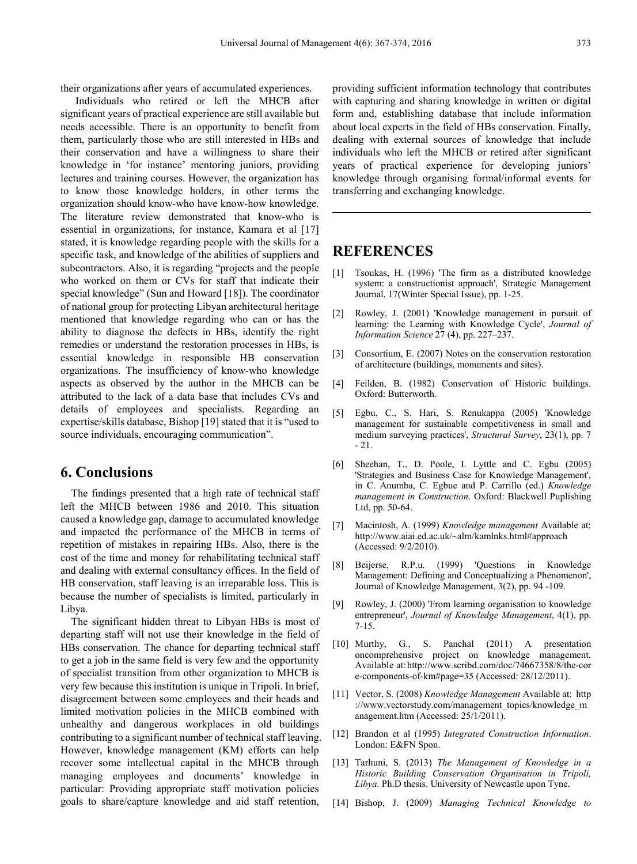their organizations after years of accumulated experiences.

Individuals who retired or left the MHCB after significant years of practical experience are still available but needs accessible. There is an opportunity to benefit from them, particularly those who are still interested in HBs and their conservation and have a willingness to share their knowledge in 'for instance' mentoring juniors, providing lectures and training courses. However, the organization has to know those knowledge holders, in other terms the organization should know-who have know-how knowledge. The literature review demonstrated that know-who is essential in organizations, for instance, Kamara et al [17] stated, it is knowledge regarding people with the skills for a specific task, and knowledge of the abilities of suppliers and subcontractors. Also, it is regarding "projects and the people who worked on them or CVs for staff that indicate their special knowledge" (Sun and Howard [18]). The coordinator of national group for protecting Libyan architectural heritage mentioned that knowledge regarding who can or has the ability to diagnose the defects in HBs, identify the right remedies or understand the restoration processes in HBs, is essential knowledge in responsible HB conservation organizations. The insufficiency of know-who knowledge aspects as observed by the author in the MHCB can be attributed to the lack of a data base that includes CVs and details of employees and specialists. Regarding an expertise/skills database, Bishop [19] stated that it is "used to source individuals, encouraging communication".

### **6. Conclusions**

The findings presented that a high rate of technical staff left the MHCB between 1986 and 2010. This situation caused a knowledge gap, damage to accumulated knowledge and impacted the performance of the MHCB in terms of repetition of mistakes in repairing HBs. Also, there is the cost of the time and money for rehabilitating technical staff and dealing with external consultancy offices. In the field of HB conservation, staff leaving is an irreparable loss. This is because the number of specialists is limited, particularly in Libya.

The significant hidden threat to Libyan HBs is most of departing staff will not use their knowledge in the field of HBs conservation. The chance for departing technical staff to get a job in the same field is very few and the opportunity of specialist transition from other organization to MHCB is very few because this institution is unique in Tripoli. In brief, disagreement between some employees and their heads and limited motivation policies in the MHCB combined with unhealthy and dangerous workplaces in old buildings contributing to a significant number of technical staff leaving. However, knowledge management (KM) efforts can help recover some intellectual capital in the MHCB through managing employees and documents' knowledge in particular: Providing appropriate staff motivation policies goals to share/capture knowledge and aid staff retention,

providing sufficient information technology that contributes with capturing and sharing knowledge in written or digital form and, establishing database that include information about local experts in the field of HBs conservation. Finally, dealing with external sources of knowledge that include individuals who left the MHCB or retired after significant years of practical experience for developing juniors' knowledge through organising formal/informal events for transferring and exchanging knowledge.

## **REFERENCES**

- [1] Tsoukas, H. (1996) 'The firm as a distributed knowledge system: a constructionist approach', Strategic Management Journal, 17(Winter Special Issue), pp. 1-25.
- [2] Rowley, J. (2001) 'Knowledge management in pursuit of learning: the Learning with Knowledge Cycle', *Journal of Information Science* 27 (4), pp. 227–237.
- [3] Consortium, E. (2007) Notes on the conservation restoration of architecture (buildings, monuments and sites).
- [4] Feilden, B. (1982) Conservation of Historic buildings. Oxford: Butterworth.
- [5] Egbu, C., S. Hari, S. Renukappa (2005) 'Knowledge management for sustainable competitiveness in small and medium surveying practices', *Structural Survey*, 23(1), pp. 7 - 21.
- [6] Sheehan, T., D. Poole, I. Lyttle and C. Egbu (2005) 'Strategies and Business Case for Knowledge Management', in C. Anumba, C. Egbue and P. Carrillo (ed.) *Knowledge management in Construction*. Oxford: Blackwell Puplishing Ltd, pp. 50-64.
- [7] Macintosh, A. (1999) *Knowledge management* Available at: http://www.aiai.ed.ac.uk/~alm/kamlnks.html#approach (Accessed: 9/2/2010).
- [8] Beijerse, R.P.u. (1999) 'Questions in Knowledge Management: Defining and Conceptualizing a Phenomenon', Journal of Knowledge Management, 3(2), pp. 94 -109.
- [9] Rowley, J. (2000) 'From learning organisation to knowledge entrepreneur', *Journal of Knowledge Management*, 4(1), pp. 7-15.
- [10] Murthy, G., S. Panchal (2011) A presentation oncomprehensive project on knowledge management. Available at:http://www.scribd.com/doc/74667358/8/the-cor e-components-of-km#page=35 (Accessed: 28/12/2011).
- [11] Vector, S. (2008) *Knowledge Management* Available at: http ://www.vectorstudy.com/management\_topics/knowledge\_m anagement.htm (Accessed: 25/1/2011).
- [12] Brandon et al (1995) *Integrated Construction Information*. London: E&FN Spon.
- [13] Tarhuni, S. (2013) *The Management of Knowledge in a Historic Building Conservation Organisation in Tripoli, Libya.* Ph.D thesis. University of Newcastle upon Tyne.
- [14] Bishop, J. (2009) *Managing Technical Knowledge to*